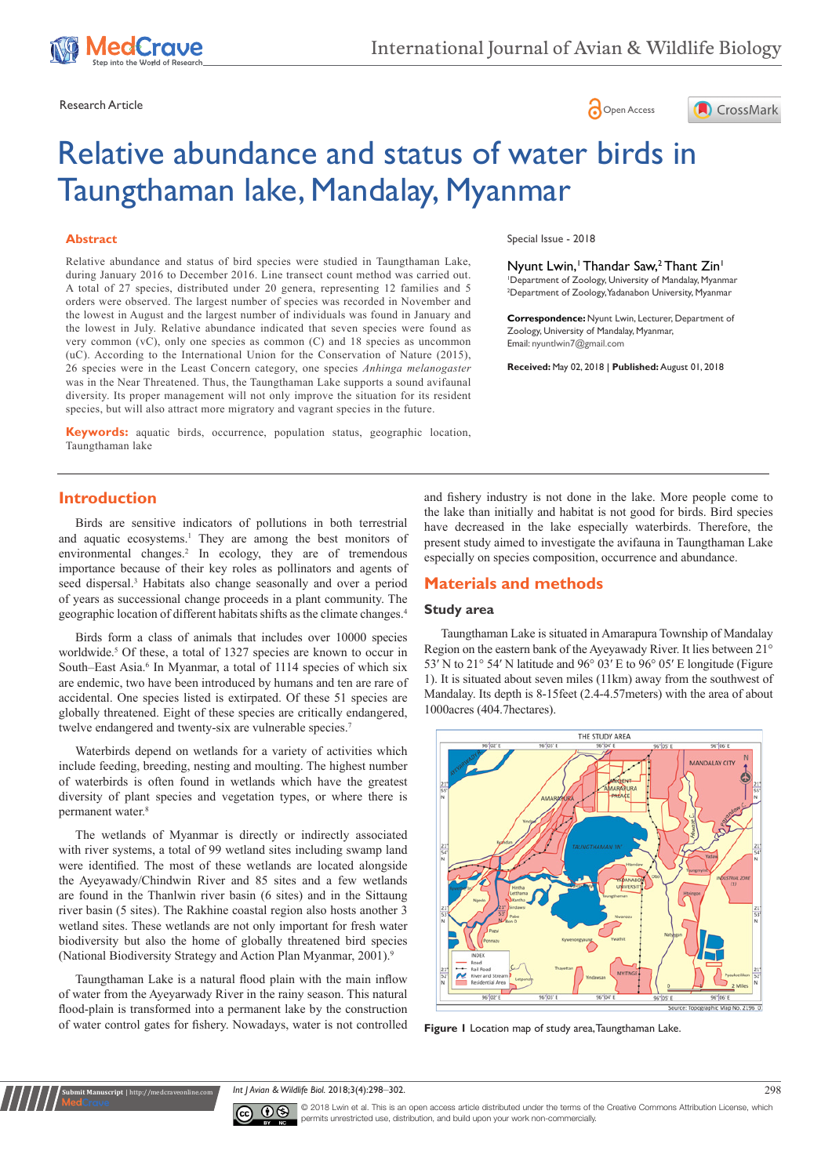





# Relative abundance and status of water birds in Taungthaman lake, Mandalay, Myanmar

## **Abstract**

Relative abundance and status of bird species were studied in Taungthaman Lake, during January 2016 to December 2016. Line transect count method was carried out. A total of 27 species, distributed under 20 genera, representing 12 families and 5 orders were observed. The largest number of species was recorded in November and the lowest in August and the largest number of individuals was found in January and the lowest in July. Relative abundance indicated that seven species were found as very common (vC), only one species as common (C) and 18 species as uncommon (uC). According to the International Union for the Conservation of Nature (2015), 26 species were in the Least Concern category, one species *Anhinga melanogaster* was in the Near Threatened. Thus, the Taungthaman Lake supports a sound avifaunal diversity. Its proper management will not only improve the situation for its resident species, but will also attract more migratory and vagrant species in the future.

**Keywords:** aquatic birds, occurrence, population status, geographic location, Taungthaman lake

Special Issue - 2018

Nyunt Lwin,<sup>1</sup> Thandar Saw,<sup>2</sup> Thant Zin<sup>1</sup> 1 Department of Zoology, University of Mandalay, Myanmar 2 Department of Zoology, Yadanabon University, Myanmar

**Correspondence:** Nyunt Lwin, Lecturer, Department of Zoology, University of Mandalay, Myanmar, Email: nyuntlwin7@gmail.com

**Received:** May 02, 2018 | **Published:** August 01, 2018

# **Introduction**

Birds are sensitive indicators of pollutions in both terrestrial and aquatic ecosystems.<sup>1</sup> They are among the best monitors of environmental changes.<sup>2</sup> In ecology, they are of tremendous importance because of their key roles as pollinators and agents of seed dispersal.<sup>3</sup> Habitats also change seasonally and over a period of years as successional change proceeds in a plant community. The geographic location of different habitats shifts as the climate changes.4

Birds form a class of animals that includes over 10000 species worldwide.<sup>5</sup> Of these, a total of 1327 species are known to occur in South–East Asia.<sup>6</sup> In Myanmar, a total of 1114 species of which six are endemic, two have been introduced by humans and ten are rare of accidental. One species listed is extirpated. Of these 51 species are globally threatened. Eight of these species are critically endangered, twelve endangered and twenty-six are vulnerable species.<sup>7</sup>

Waterbirds depend on wetlands for a variety of activities which include feeding, breeding, nesting and moulting. The highest number of waterbirds is often found in wetlands which have the greatest diversity of plant species and vegetation types, or where there is permanent water.8

The wetlands of Myanmar is directly or indirectly associated with river systems, a total of 99 wetland sites including swamp land were identified. The most of these wetlands are located alongside the Ayeyawady/Chindwin River and 85 sites and a few wetlands are found in the Thanlwin river basin (6 sites) and in the Sittaung river basin (5 sites). The Rakhine coastal region also hosts another 3 wetland sites. These wetlands are not only important for fresh water biodiversity but also the home of globally threatened bird species (National Biodiversity Strategy and Action Plan Myanmar, 2001).9

Taungthaman Lake is a natural flood plain with the main inflow of water from the Ayeyarwady River in the rainy season. This natural flood-plain is transformed into a permanent lake by the construction of water control gates for fishery. Nowadays, water is not controlled

**Submit Manuscript** | http://medcraveonline.com

and fishery industry is not done in the lake. More people come to the lake than initially and habitat is not good for birds. Bird species have decreased in the lake especially waterbirds. Therefore, the present study aimed to investigate the avifauna in Taungthaman Lake especially on species composition, occurrence and abundance.

# **Materials and methods**

# **Study area**

Taungthaman Lake is situated in Amarapura Township of Mandalay Region on the eastern bank of the Ayeyawady River. It lies between 21° 53′ N to 21° 54′ N latitude and 96° 03′ E to 96° 05′ E longitude (Figure 1). It is situated about seven miles (11km) away from the southwest of Mandalay. Its depth is 8-15feet (2.4-4.57meters) with the area of about 1000acres (404.7hectares).



**Figure 1** Location map of study area, Taungthaman Lake.

*Int J Avian & Wildlife Biol.* 2018;3(4):298‒302. 298



© 2018 Lwin et al. This is an open access article distributed under the terms of the [Creative Commons Attribution License](https://creativecommons.org/licenses/by-nc/4.0/), which permits unrestricted use, distribution, and build upon your work non-commercially.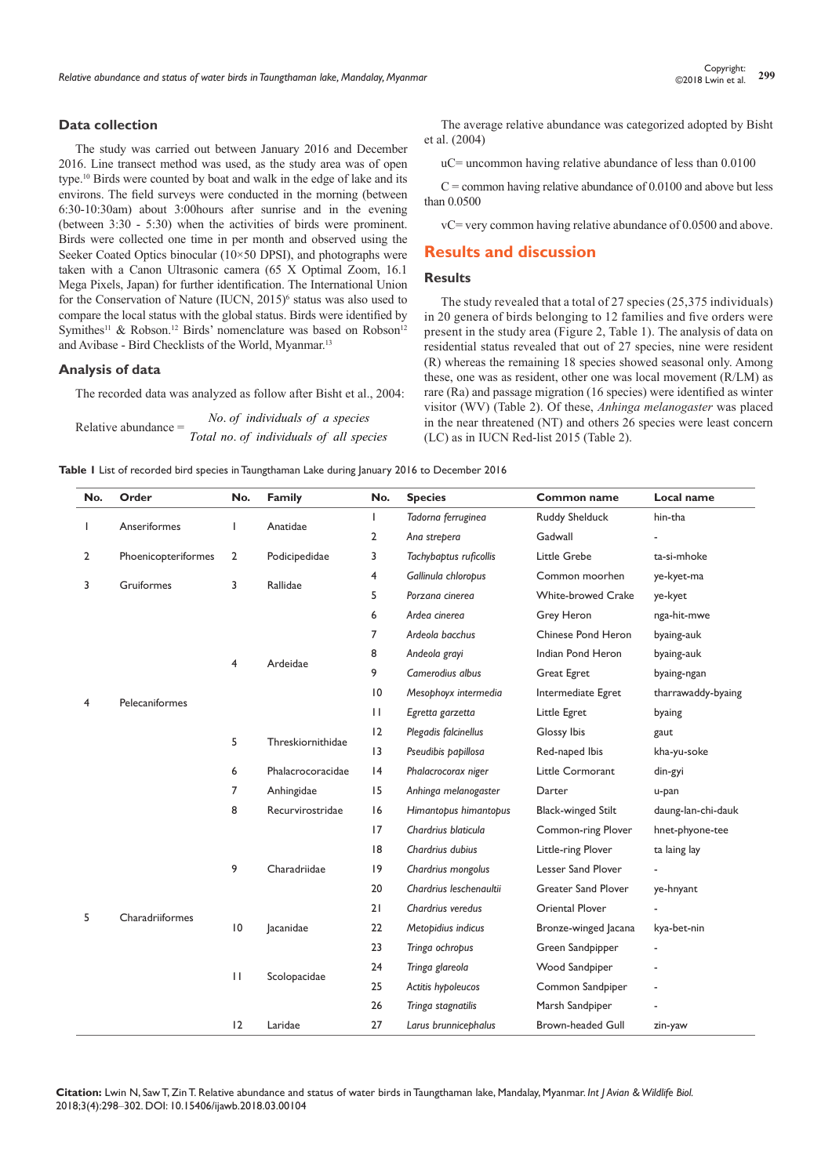## **Data collection**

The study was carried out between January 2016 and December 2016. Line transect method was used, as the study area was of open type.10 Birds were counted by boat and walk in the edge of lake and its environs. The field surveys were conducted in the morning (between 6:30-10:30am) about 3:00hours after sunrise and in the evening (between 3:30 - 5:30) when the activities of birds were prominent. Birds were collected one time in per month and observed using the Seeker Coated Optics binocular (10×50 DPSI), and photographs were taken with a Canon Ultrasonic camera (65 X Optimal Zoom, 16.1 Mega Pixels, Japan) for further identification. The International Union for the Conservation of Nature (IUCN, 2015)<sup>6</sup> status was also used to compare the local status with the global status. Birds were identified by Symithes<sup>11</sup> & Robson.<sup>12</sup> Birds' nomenclature was based on Robson<sup>12</sup> and Avibase - Bird Checklists of the World, Myanmar.13

#### **Analysis of data**

The recorded data was analyzed as follow after Bisht et al., 2004:

Relative abundance  $=$  . *Total no of individuals of all species No of individuals of a species*

The average relative abundance was categorized adopted by Bisht et al. (2004)

uC= uncommon having relative abundance of less than 0.0100

 $C =$  common having relative abundance of 0.0100 and above but less than 0.0500

vC= very common having relative abundance of 0.0500 and above.

# **Results and discussion**

#### **Results**

The study revealed that a total of 27 species (25,375 individuals) in 20 genera of birds belonging to 12 families and five orders were present in the study area (Figure 2, Table 1). The analysis of data on residential status revealed that out of 27 species, nine were resident (R) whereas the remaining 18 species showed seasonal only. Among these, one was as resident, other one was local movement (R/LM) as rare (Ra) and passage migration (16 species) were identified as winter visitor (WV) (Table 2). Of these, *Anhinga melanogaster* was placed in the near threatened (NT) and others 26 species were least concern (LC) as in IUCN Red-list 2015 (Table 2).

**Table 1** List of recorded bird species in Taungthaman Lake during January 2016 to December 2016

| No. | Order               | No.            | <b>Family</b>     | No.            | <b>Species</b>          | Common name                | Local name         |  |  |
|-----|---------------------|----------------|-------------------|----------------|-------------------------|----------------------------|--------------------|--|--|
| ı   | Anseriformes        | T              | Anatidae          | $\overline{1}$ | Tadorna ferruginea      | <b>Ruddy Shelduck</b>      | hin-tha            |  |  |
|     |                     |                |                   | $\overline{2}$ | Ana strepera            | Gadwall                    |                    |  |  |
| 2   | Phoenicopteriformes | $\overline{2}$ | Podicipedidae     | 3              | Tachybaptus ruficollis  | Little Grebe               | ta-si-mhoke        |  |  |
|     |                     | 3              |                   | 4              | Gallinula chloropus     | Common moorhen             | ye-kyet-ma         |  |  |
| 3   | Gruiformes          |                | Rallidae          | 5              | Porzana cinerea         | <b>White-browed Crake</b>  | ye-kyet            |  |  |
| 4   |                     |                |                   | 6              | Ardea cinerea           | Grey Heron                 | nga-hit-mwe        |  |  |
|     |                     | 4              | Ardeidae          | 7              | Ardeola bacchus         | Chinese Pond Heron         | byaing-auk         |  |  |
|     |                     |                |                   | 8              | Andeola grayi           | byaing-auk                 |                    |  |  |
|     |                     |                |                   | 9              | Camerodius albus        | Great Egret                | byaing-ngan        |  |  |
|     |                     |                |                   | 10             | Mesophoyx intermedia    | Intermediate Egret         | tharrawaddy-byaing |  |  |
|     | Pelecaniformes      |                |                   | $\mathbf{H}$   | Egretta garzetta        | Little Egret               | byaing             |  |  |
|     |                     | 5              | Threskiornithidae | 12             | Plegadis falcinellus    | Glossy Ibis                | gaut               |  |  |
|     |                     |                |                   | 13             | Pseudibis papillosa     | Red-naped Ibis             | kha-yu-soke        |  |  |
|     |                     | 6              | Phalacrocoracidae | 4              | Phalacrocorax niger     | Little Cormorant           | din-gyi            |  |  |
|     |                     | 7              | Anhingidae        | 15             | Anhinga melanogaster    | Darter                     | u-pan              |  |  |
| 5   |                     | 8              | Recurvirostridae  | 16             | Himantopus himantopus   | <b>Black-winged Stilt</b>  | daung-lan-chi-dauk |  |  |
|     |                     |                |                   | 17             | Chardrius blaticula     | Common-ring Plover         | hnet-phyone-tee    |  |  |
|     |                     |                |                   | 8              | Chardrius dubius        | Little-ring Plover         | ta laing lay       |  |  |
|     |                     | 9              | Charadriidae      | 9              | Chardrius mongolus      | Lesser Sand Plover         |                    |  |  |
|     |                     |                |                   | 20             | Chardrius leschenaultii | <b>Greater Sand Plover</b> | ye-hnyant          |  |  |
|     | Charadriiformes     |                |                   | 21             | Chardrius veredus       | <b>Oriental Plover</b>     |                    |  |  |
|     |                     | $ 0\rangle$    | lacanidae         | 22             | Metopidius indicus      | Bronze-winged Jacana       | kya-bet-nin        |  |  |
|     |                     |                |                   | 23             | Tringa ochropus         | Green Sandpipper           |                    |  |  |
|     |                     |                | Scolopacidae      | 24             | Tringa glareola         | Wood Sandpiper             |                    |  |  |
|     |                     | $\mathbf{H}$   |                   | 25             | Actitis hypoleucos      | Common Sandpiper           |                    |  |  |
|     |                     |                |                   | 26             | Tringa stagnatilis      | Marsh Sandpiper            |                    |  |  |
|     |                     | 12             | Laridae           | 27             | Larus brunnicephalus    | <b>Brown-headed Gull</b>   | zin-yaw            |  |  |

**Citation:** Lwin N, Saw T, Zin T. Relative abundance and status of water birds in Taungthaman lake, Mandalay, Myanmar. *Int J Avian & Wildlife Biol.* 2018;3(4):298‒302. DOI: [10.15406/ijawb.2018.03.00104](https://doi.org/10.15406/ijawb.2018.03.00104)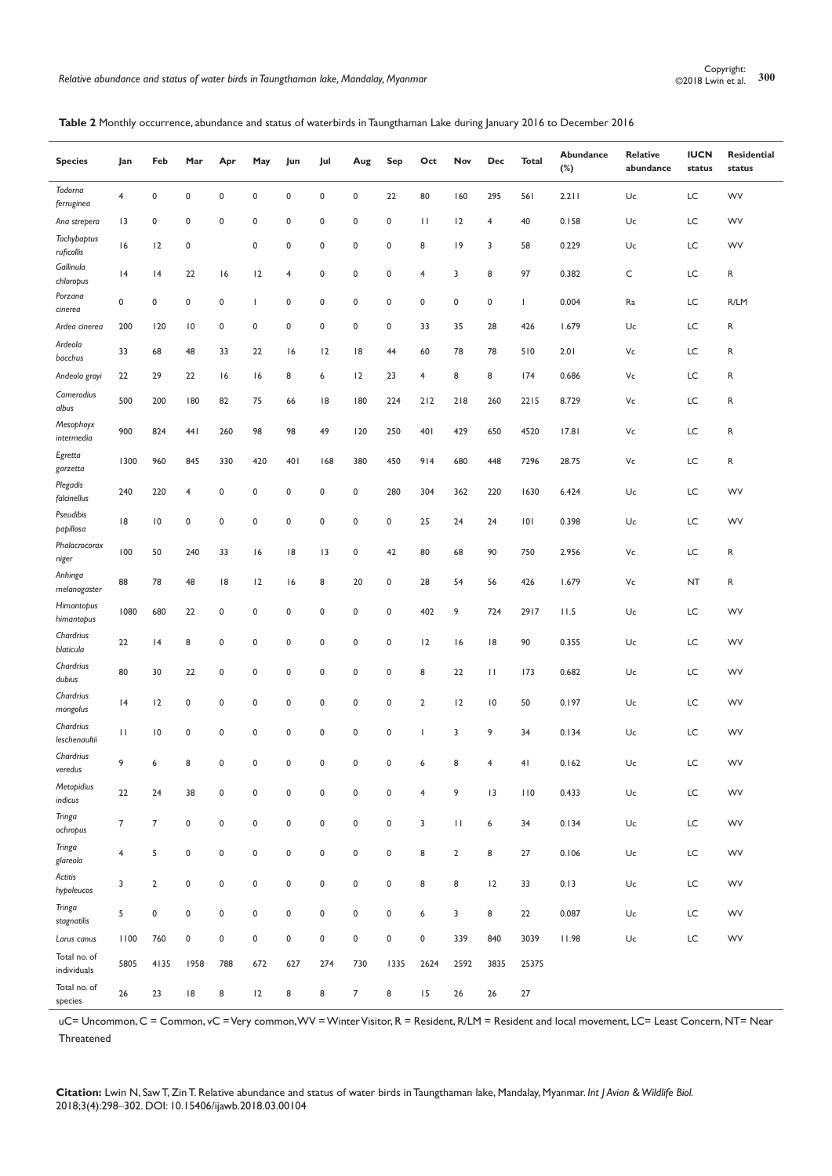## **Table 2** Monthly occurrence, abundance and status of waterbirds in Taungthaman Lake during January 2016 to December 2016

| <b>Species</b>              | Jan            | Feb             | Mar             | Apr         | May       | Jun         | Jul                 | Aug            | <b>Sep</b> | Oct                     | Nov            | Dec              | <b>Total</b> | Abundance<br>$(\%)$ | Relative<br>abundance | <b>IUCN</b><br>status | <b>Residential</b><br>status |
|-----------------------------|----------------|-----------------|-----------------|-------------|-----------|-------------|---------------------|----------------|------------|-------------------------|----------------|------------------|--------------|---------------------|-----------------------|-----------------------|------------------------------|
| Tadorna<br>ferruginea       | $\overline{4}$ | 0               | $\pmb{0}$       | $\mathbf 0$ | 0         | $\pmb{0}$   | $\mathbf 0$         | 0              | 22         | 80                      | 160            | 295              | 561          | 2.211               | Uc                    | LC                    | WV                           |
| Ana strepera                | 3              | 0               | $\pmb{0}$       | $\mathbf 0$ | 0         | $\pmb{0}$   | $\mathbf 0$         | 0              | $\pmb{0}$  | $\mathbf{H}$            | 12             | 4                | 40           | 0.158               | Uc                    | LC                    | <b>WV</b>                    |
| Tachybaptus<br>ruficollis   | 16             | 12              | $\mathsf 0$     |             | 0         | $\pmb{0}$   | 0                   | 0              | $\pmb{0}$  | 8                       | 9              | 3                | 58           | 0.229               | Uc                    | LC                    | WV                           |
| Gallinula<br>chloropus      | 4              | 4               | 22              | 16          | 12        | 4           | $\mathbf 0$         | 0              | $\pmb{0}$  | 4                       | 3              | 8                | 97           | 0.382               | C                     | LC                    | R                            |
| Porzana<br>cinerea          | $\mathbf 0$    | 0               | $\mathbf 0$     | $\pmb{0}$   | T         | $\pmb{0}$   | $\mathbf 0$         | $\pmb{0}$      | 0          | 0                       | $\pmb{0}$      | 0                | $\mathbf{I}$ | 0.004               | Ra                    | LC                    | R/LM                         |
| Ardea cinerea               | 200            | 120             | $\overline{10}$ | $\pmb{0}$   | 0         | $\pmb{0}$   | $\pmb{0}$           | 0              | $\pmb{0}$  | 33                      | 35             | 28               | 426          | 1.679               | Uc                    | LC                    | R                            |
| Ardeola<br>bacchus          | 33             | 68              | 48              | 33          | 22        | 16          | 12                  | 8              | 44         | 60                      | 78             | 78               | 510          | 2.01                | Vc                    | LC                    | R                            |
| Andeola grayi               | 22             | 29              | 22              | 16          | 16        | 8           | 6                   | 12             | 23         | $\overline{\mathbf{4}}$ | 8              | 8                | 174          | 0.686               | Vc                    | LC                    | R                            |
| Camerodius<br>albus         | 500            | 200             | 180             | 82          | 75        | 66          | 8                   | 180            | 224        | 212                     | 218            | 260              | 2215         | 8.729               | Vc                    | LC                    | R                            |
| Mesophoyx<br>intermedia     | 900            | 824             | 441             | 260         | 98        | 98          | 49                  | 120            | 250        | 401                     | 429            | 650              | 4520         | 17.81               | Vc                    | LC                    | R                            |
| Egretta<br>garzetta         | 1300           | 960             | 845             | 330         | 420       | 401         | 168                 | 380            | 450        | 914                     | 680            | 448              | 7296         | 28.75               | Vc                    | LC                    | R                            |
| Plegadis<br>falcinellus     | 240            | 220             | $\overline{4}$  | $\mathbf 0$ | 0         | $\pmb{0}$   | $\mathbf 0$         | 0              | 280        | 304                     | 362            | 220              | 1630         | 6.424               | Uc                    | LC                    | <b>WV</b>                    |
| Pseudibis<br>papillosa      | 18             | $\overline{10}$ | 0               | $\pmb{0}$   | 0         | $\pmb{0}$   | 0                   | 0              | 0          | 25                      | 24             | 24               | 0            | 0.398               | Uc                    | LC                    | WV                           |
| Phalacrocorax<br>niger      | 100            | 50              | 240             | 33          | 16        | 18          | 3                   | 0              | 42         | 80                      | 68             | 90               | 750          | 2.956               | Vc                    | LC                    | R                            |
| Anhinga<br>melanogaster     | 88             | 78              | 48              | 8           | 12        | 16          | 8                   | 20             | 0          | 28                      | 54             | 56               | 426          | 1.679               | Vc                    | <b>NT</b>             | R                            |
| Himantopus<br>himantopus    | 1080           | 680             | 22              | $\pmb{0}$   | 0         | $\pmb{0}$   | 0                   | 0              | $\pmb{0}$  | 402                     | 9              | 724              | 2917         | 11.5                | Uc                    | LC                    | WV                           |
| Chardrius<br>blaticula      | 22             | 4               | 8               | $\mathbf 0$ | 0         | $\pmb{0}$   | $\mathbf 0$         | 0              | 0          | 12                      | 16             | 18               | 90           | 0.355               | Uc                    | LC                    | <b>WV</b>                    |
| Chardrius<br>dubius         | 80             | 30              | 22              | 0           | 0         | 0           | 0                   | 0              | 0          | 8                       | 22             | П                | 173          | 0.682               | Uc                    | LC                    | WV                           |
| Chardrius<br>mongolus       | 4              | 12              | $\mathsf 0$     | $\mathbf 0$ | 0         | $\pmb{0}$   | 0                   | 0              | $\pmb{0}$  | $\overline{2}$          | 12             | $\overline{10}$  | 50           | 0.197               | Uc                    | LC                    | <b>WV</b>                    |
| Chardrius<br>leschenaultii  | $\mathbf{H}$   | $\overline{10}$ | $\pmb{0}$       | $\mathbf 0$ | 0         | $\pmb{0}$   | 0                   | 0              | $\pmb{0}$  | 1                       | 3              | 9                | 34           | 0.134               | Uc                    | LC                    | WV                           |
| Chardrius<br>veredus        | 9              | $\epsilon$      | R               | $\Omega$    | $\Omega$  | $\Omega$    | $\Omega$            | $\Omega$       | $\Omega$   | $\overline{a}$          | R              | $\blacktriangle$ | 41           | 0.162               | Uc                    | LC                    | WV                           |
| Metopidius<br>indicus       | 22             | 24              | 38              | $\pmb{0}$   | $\pmb{0}$ | $\pmb{0}$   | $\pmb{0}$           | $\pmb{0}$      | $\pmb{0}$  | $\overline{4}$          | 9              | 3                | 110          | 0.433               | Uc                    | LC                    | <b>WV</b>                    |
| Tringa<br>ochropus          | $\overline{7}$ | $\overline{7}$  | $\pmb{0}$       | $\pmb{0}$   | 0         | $\mathsf 0$ | $\mathsf 0$         | $\pmb{0}$      | $\pmb{0}$  | 3                       | $\mathbf{H}$   | 6                | 34           | 0.134               | Uc                    | LC                    | WV                           |
| Tringa<br>glareola          | $\overline{4}$ | 5               | $\mathsf 0$     | $\pmb{0}$   | $\pmb{0}$ | $\pmb{0}$   | $\mathsf{o}\,$      | $\pmb{0}$      | $\pmb{0}$  | 8                       | $\overline{2}$ | 8                | 27           | 0.106               | Uc                    | LC                    | WV                           |
| Actitis<br>hypoleucos       | 3              | $\mathbf 2$     | $\pmb{0}$       | $\pmb{0}$   | $\pmb{0}$ | $\pmb{0}$   | $\pmb{0}$           | $\pmb{0}$      | $\pmb{0}$  | 8                       | 8              | 12               | 33           | 0.13                | Uc                    | LC                    | <b>WV</b>                    |
| Tringa<br>stagnatilis       | 5              | 0               | $\pmb{0}$       | $\pmb{0}$   | 0         | $\pmb{0}$   | 0                   | $\mathsf 0$    | $\pmb{0}$  | 6                       | 3              | 8                | 22           | 0.087               | Uc                    | LC                    | WV                           |
| Larus canus                 | 1100           | 760             | $\pmb{0}$       | $\pmb{0}$   | 0         | $\pmb{0}$   | $\mathsf{O}\xspace$ | $\pmb{0}$      | $\pmb{0}$  | 0                       | 339            | 840              | 3039         | 11.98               | Uc                    | LC                    | WV                           |
| Total no. of<br>individuals | 5805           | 4135            | 1958            | 788         | 672       | 627         | 274                 | 730            | 1335       | 2624                    | 2592           | 3835             | 25375        |                     |                       |                       |                              |
| Total no. of<br>species     | 26             | 23              | 8               | 8           | 12        | 8           | 8                   | $\overline{7}$ | 8          | 15                      | 26             | 26               | 27           |                     |                       |                       |                              |

uC= Uncommon, C = Common, vC = Very common, WV = Winter Visitor, R = Resident, R/LM = Resident and local movement, LC= Least Concern, NT= Near Threatened

**Citation:** Lwin N, Saw T, Zin T. Relative abundance and status of water birds in Taungthaman lake, Mandalay, Myanmar. *Int J Avian & Wildlife Biol.* 2018;3(4):298‒302. DOI: [10.15406/ijawb.2018.03.00104](https://doi.org/10.15406/ijawb.2018.03.00104)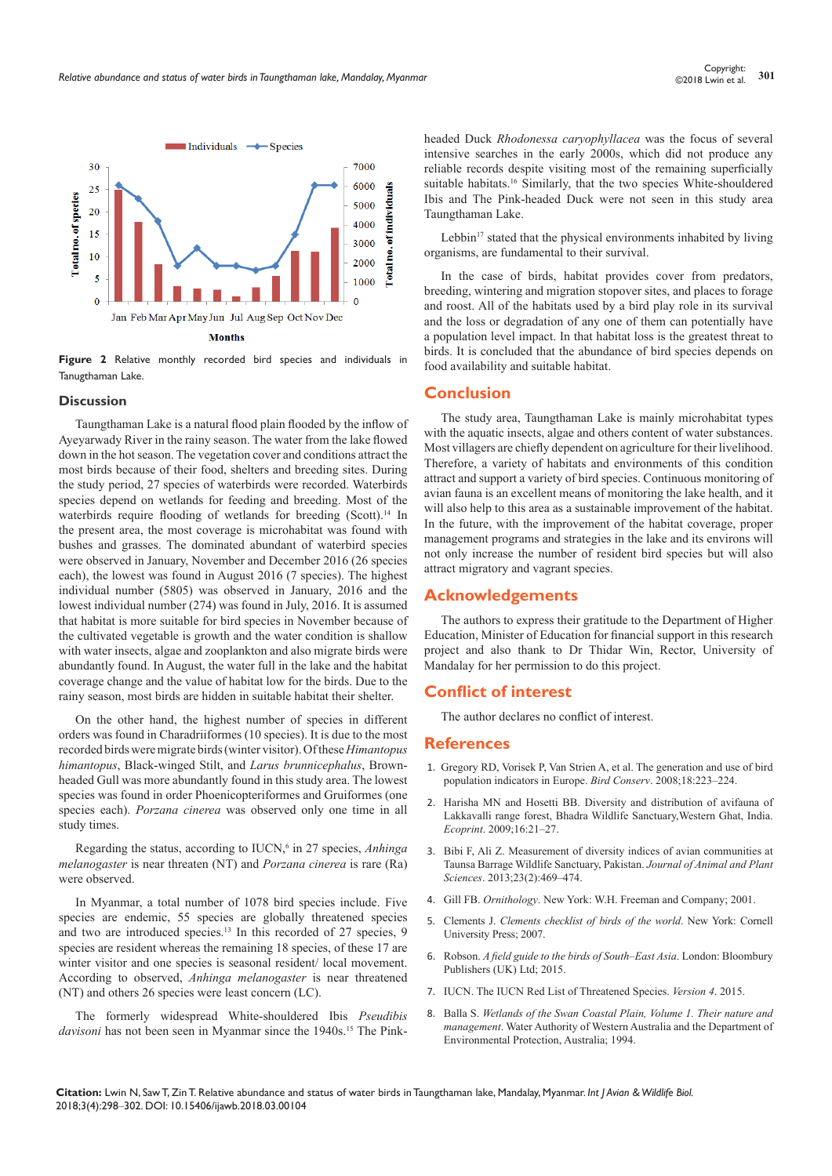

**Figure 2** Relative monthly recorded bird species and individuals in Tanugthaman Lake.

#### **Discussion**

Taungthaman Lake is a natural flood plain flooded by the inflow of Ayeyarwady River in the rainy season. The water from the lake flowed down in the hot season. The vegetation cover and conditions attract the most birds because of their food, shelters and breeding sites. During the study period, 27 species of waterbirds were recorded. Waterbirds species depend on wetlands for feeding and breeding. Most of the waterbirds require flooding of wetlands for breeding (Scott).<sup>14</sup> In the present area, the most coverage is microhabitat was found with bushes and grasses. The dominated abundant of waterbird species were observed in January, November and December 2016 (26 species each), the lowest was found in August 2016 (7 species). The highest individual number (5805) was observed in January, 2016 and the lowest individual number (274) was found in July, 2016. It is assumed that habitat is more suitable for bird species in November because of the cultivated vegetable is growth and the water condition is shallow with water insects, algae and zooplankton and also migrate birds were abundantly found. In August, the water full in the lake and the habitat coverage change and the value of habitat low for the birds. Due to the rainy season, most birds are hidden in suitable habitat their shelter.

On the other hand, the highest number of species in different orders was found in Charadriiformes (10 species). It is due to the most recorded birds were migrate birds (winter visitor). Of these *Himantopus himantopus*, Black-winged Stilt, and *Larus brunnicephalus*, Brownheaded Gull was more abundantly found in this study area. The lowest species was found in order Phoenicopteriformes and Gruiformes (one species each). *Porzana cinerea* was observed only one time in all study times.

Regarding the status, according to IUCN,<sup>6</sup> in 27 species, *Anhinga melanogaster* is near threaten (NT) and *Porzana cinerea* is rare (Ra) were observed.

In Myanmar, a total number of 1078 bird species include. Five species are endemic, 55 species are globally threatened species and two are introduced species.<sup>13</sup> In this recorded of 27 species, 9 species are resident whereas the remaining 18 species, of these 17 are winter visitor and one species is seasonal resident/ local movement. According to observed, *Anhinga melanogaster* is near threatened (NT) and others 26 species were least concern (LC).

The formerly widespread White-shouldered Ibis *Pseudibis*  davisoni has not been seen in Myanmar since the 1940s.<sup>15</sup> The Pinkheaded Duck *Rhodonessa caryophyllacea* was the focus of several intensive searches in the early 2000s, which did not produce any reliable records despite visiting most of the remaining superficially suitable habitats.<sup>16</sup> Similarly, that the two species White-shouldered Ibis and The Pink-headed Duck were not seen in this study area Taungthaman Lake.

Lebbin<sup>17</sup> stated that the physical environments inhabited by living organisms, are fundamental to their survival.

In the case of birds, habitat provides cover from predators, breeding, wintering and migration stopover sites, and places to forage and roost. All of the habitats used by a bird play role in its survival and the loss or degradation of any one of them can potentially have a population level impact. In that habitat loss is the greatest threat to birds. It is concluded that the abundance of bird species depends on food availability and suitable habitat.

# **Conclusion**

The study area, Taungthaman Lake is mainly microhabitat types with the aquatic insects, algae and others content of water substances. Most villagers are chiefly dependent on agriculture for their livelihood. Therefore, a variety of habitats and environments of this condition attract and support a variety of bird species. Continuous monitoring of avian fauna is an excellent means of monitoring the lake health, and it will also help to this area as a sustainable improvement of the habitat. In the future, with the improvement of the habitat coverage, proper management programs and strategies in the lake and its environs will not only increase the number of resident bird species but will also attract migratory and vagrant species.

# **Acknowledgements**

The authors to express their gratitude to the Department of Higher Education, Minister of Education for financial support in this research project and also thank to Dr Thidar Win, Rector, University of Mandalay for her permission to do this project.

# **Conflict of interest**

The author declares no conflict of interest.

# **References**

- 1. [Gregory RD, Vorisek P, Van Strien A, et al. The generation and use of bird](https://www.cambridge.org/core/journals/bird-conservation-international/article/the-generation-and-use-of-bird-population-indicators-in-europe/16A6769F622A97BD8FE7401300C43C6F)  [population indicators in Europe.](https://www.cambridge.org/core/journals/bird-conservation-international/article/the-generation-and-use-of-bird-population-indicators-in-europe/16A6769F622A97BD8FE7401300C43C6F) *Bird Conserv*. 2008;18:223–224.
- 2. [Harisha MN and Hosetti BB. Diversity and distribution of avifauna of](https://www.nepjol.info/index.php/ECO/article/view/3469)  [Lakkavalli range forest, Bhadra Wildlife Sanctuary,Western Ghat, India.](https://www.nepjol.info/index.php/ECO/article/view/3469)  *Ecoprint*[. 2009;16:21–27.](https://www.nepjol.info/index.php/ECO/article/view/3469)
- 3. [Bibi F, Ali Z. Measurement of diversity indices of avian communities at](https://www.cabdirect.org/cabdirect/abstract/20133246686)  [Taunsa Barrage Wildlife Sanctuary, Pakistan.](https://www.cabdirect.org/cabdirect/abstract/20133246686) *Journal of Animal and Plant Sciences*[. 2013;23\(2\):469–474.](https://www.cabdirect.org/cabdirect/abstract/20133246686)
- 4. Gill FB. *Ornithology*. New York: W.H. Freeman and Company; 2001.
- 5. Clements J. *Clements checklist of birds of the world*. New York: Cornell University Press; 2007.
- 6. Robson. *A field guide to the birds of South–East Asia*. London: Bloombury Publishers (UK) Ltd; 2015.
- 7. [IUCN. The IUCN Red List of Threatened Species.](http://www.iucnredlist.org) *Version 4*. 2015.
- 8. Balla S. *[Wetlands of the Swan Coastal Plain, Volume 1. Their nature and](https://trove.nla.gov.au/work/29792174?q&sort=holdings+desc&_=1531474831972&versionId=38601575)  management*. Water Authority [of Western Australia and the Department of](https://trove.nla.gov.au/work/29792174?q&sort=holdings+desc&_=1531474831972&versionId=38601575)  Environmental [Protection, Australia; 1994.](https://trove.nla.gov.au/work/29792174?q&sort=holdings+desc&_=1531474831972&versionId=38601575)